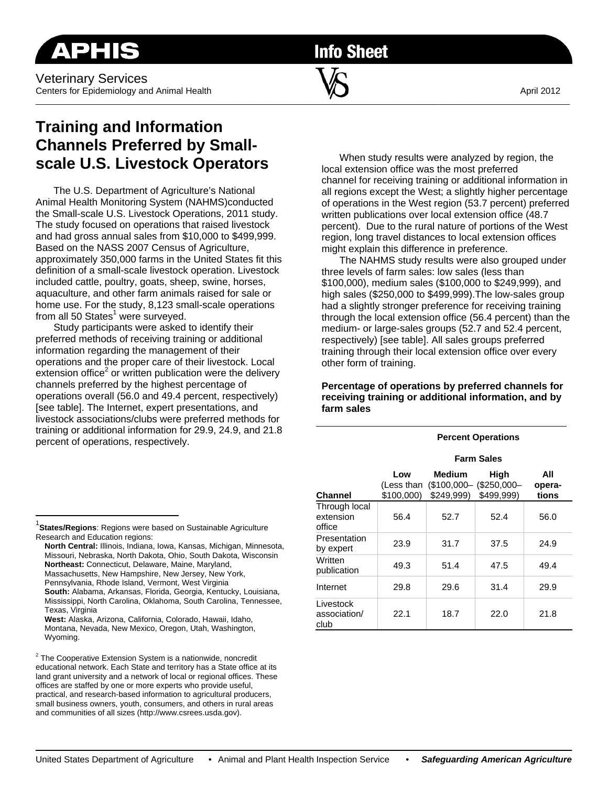**Info Sheet** 

 $\overline{\phantom{a}}$  , and the contribution of the contribution of  $\overline{\phantom{a}}$  , and the contribution of  $\overline{\phantom{a}}$ 

# **Training and Information Channels Preferred by Smallscale U.S. Livestock Operators**

The U.S. Department of Agriculture's National Animal Health Monitoring System (NAHMS)conducted the Small-scale U.S. Livestock Operations, 2011 study. The study focused on operations that raised livestock and had gross annual sales from \$10,000 to \$499,999. Based on the NASS 2007 Census of Agriculture, approximately 350,000 farms in the United States fit this definition of a small-scale livestock operation. Livestock included cattle, poultry, goats, sheep, swine, horses, aquaculture, and other farm animals raised for sale or home use. For the study, 8,123 small-scale operations from all 50 States<sup>1</sup> were surveyed.

Study participants were asked to identify their preferred methods of receiving training or additional information regarding the management of their operations and the proper care of their livestock. Local extension office<sup>2</sup> or written publication were the delivery channels preferred by the highest percentage of operations overall (56.0 and 49.4 percent, respectively) [see table]. The Internet, expert presentations, and livestock associations/clubs were preferred methods for training or additional information for 29.9, 24.9, and 21.8 percent of operations, respectively.

When study results were analyzed by region, the local extension office was the most preferred channel for receiving training or additional information in all regions except the West; a slightly higher percentage of operations in the West region (53.7 percent) preferred written publications over local extension office (48.7 percent). Due to the rural nature of portions of the West region, long travel distances to local extension offices might explain this difference in preference.

 The NAHMS study results were also grouped under three levels of farm sales: low sales (less than \$100,000), medium sales (\$100,000 to \$249,999), and high sales (\$250,000 to \$499,999).The low-sales group had a slightly stronger preference for receiving training through the local extension office (56.4 percent) than the medium- or large-sales groups (52.7 and 52.4 percent, respectively) [see table]. All sales groups preferred training through their local extension office over every other form of training.

**Percentage of operations by preferred channels for receiving training or additional information, and by farm sales** 

#### **Percent Operations**

|                                      | <b>Farm Sales</b>               |                                     |                                    |                        |
|--------------------------------------|---------------------------------|-------------------------------------|------------------------------------|------------------------|
| <b>Channel</b>                       | Low<br>(Less than<br>\$100,000) | Medium<br>$($100,000-$<br>\$249.999 | High<br>$($250,000-$<br>\$499.999) | All<br>opera-<br>tions |
| Through local<br>extension<br>office | 56.4                            | 52.7                                | 52.4                               | 56.0                   |
| Presentation<br>by expert            | 23.9                            | 31.7                                | 37.5                               | 24.9                   |
| Written<br>publication               | 49.3                            | 51.4                                | 47.5                               | 49.4                   |
| Internet                             | 29.8                            | 29.6                                | 31.4                               | 29.9                   |
| Livestock<br>association/<br>club    | 22.1                            | 18.7                                | 22.0                               | 21.8                   |

 $\overline{a}$ 

- **North Central:** Illinois, Indiana, Iowa, Kansas, Michigan, Minnesota, Missouri, Nebraska, North Dakota, Ohio, South Dakota, Wisconsin **Northeast:** Connecticut, Delaware, Maine, Maryland, Massachusetts, New Hampshire, New Jersey, New York, Pennsylvania, Rhode Island, Vermont, West Virginia
- **South:** Alabama, Arkansas, Florida, Georgia, Kentucky, Louisiana, Mississippi, North Carolina, Oklahoma, South Carolina, Tennessee, Texas, Virginia
- **West:** Alaska, Arizona, California, Colorado, Hawaii, Idaho, Montana, Nevada, New Mexico, Oregon, Utah, Washington, Wyoming.

 $2$  The Cooperative Extension System is a nationwide, noncredit educational network. Each State and territory has a State office at its land grant university and a network of local or regional offices. These offices are staffed by one or more experts who provide useful, practical, and research-based information to agricultural producers, small business owners, youth, consumers, and others in rural areas and communities of all sizes (http://www.csrees.usda.gov).

<sup>1</sup> **States/Regions**: Regions were based on Sustainable Agriculture Research and Education regions: